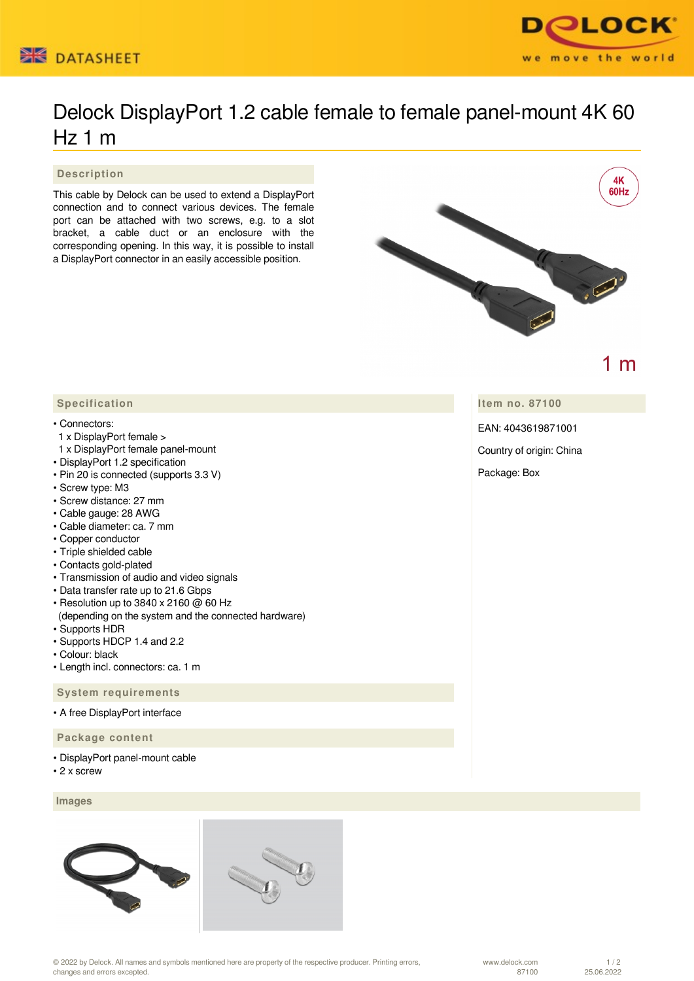



# Delock DisplayPort 1.2 cable female to female panel-mount 4K 60 Hz 1 m

### **Description**

This cable by Delock can be used to extend a DisplayPort connection and to connect various devices. The female port can be attached with two screws, e.g. to a slot bracket, a cable duct or an enclosure with the corresponding opening. In this way, it is possible to install a DisplayPort connector in an easily accessible position.



 $1<sub>m</sub>$ 

## **Item no. 87100**

EAN: 4043619871001

Country of origin: China

Package: Box

### **Specification**

#### • Connectors:

- 1 x DisplayPort female >
- 1 x DisplayPort female panel-mount
- DisplayPort 1.2 specification
- Pin 20 is connected (supports 3.3 V)
- Screw type: M3
- Screw distance: 27 mm
- Cable gauge: 28 AWG
- Cable diameter: ca. 7 mm
- Copper conductor
- Triple shielded cable
- Contacts gold-plated
- Transmission of audio and video signals
- Data transfer rate up to 21.6 Gbps
- Resolution up to 3840 x 2160 @ 60 Hz
- (depending on the system and the connected hardware) • Supports HDR
- Supports HDCP 1.4 and 2.2
- Colour: black
- Length incl. connectors: ca. 1 m

 **System requirements**

• A free DisplayPort interface

 **Package content**

- DisplayPort panel-mount cable
- 2 x screw

#### **Images**